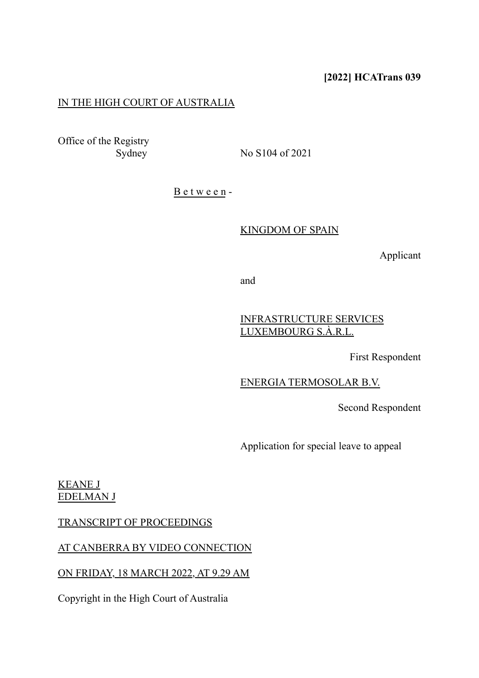# **[2022] HCATrans 039**

# IN THE HIGH COURT OF AUSTRALIA

Office of the Registry

Sydney No S104 of 2021

B e t w e e n -

#### KINGDOM OF SPAIN

Applicant

and

## INFRASTRUCTURE SERVICES LUXEMBOURG S.À.R.L.

First Respondent

### ENERGIA TERMOSOLAR B.V.

Second Respondent

Application for special leave to appeal

## KEANE J EDELMAN J

### TRANSCRIPT OF PROCEEDINGS

### AT CANBERRA BY VIDEO CONNECTION

### ON FRIDAY, 18 MARCH 2022, AT 9.29 AM

Copyright in the High Court of Australia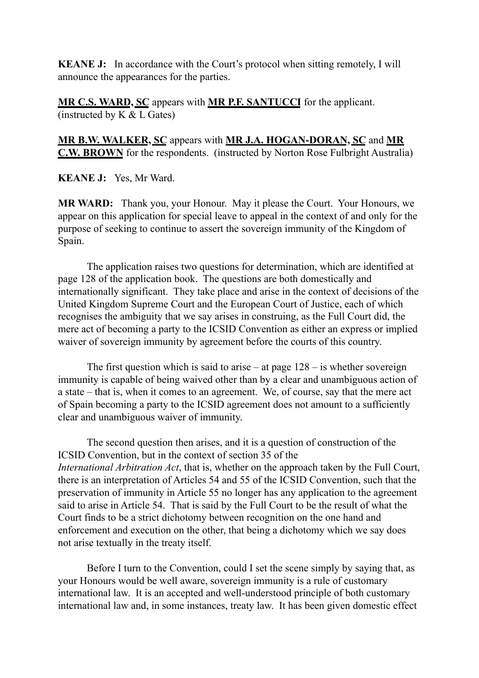**KEANE J:** In accordance with the Court's protocol when sitting remotely, I will announce the appearances for the parties.

**MR C.S. WARD, SC** appears with **MR P.F. SANTUCCI** for the applicant. (instructed by  $K & L$  Gates)

**MR B.W. WALKER, SC** appears with **MR J.A. HOGAN-DORAN, SC** and **MR C.W. BROWN** for the respondents. (instructed by Norton Rose Fulbright Australia)

**KEANE J:** Yes, Mr Ward.

**MR WARD:** Thank you, your Honour. May it please the Court. Your Honours, we appear on this application for special leave to appeal in the context of and only for the purpose of seeking to continue to assert the sovereign immunity of the Kingdom of Spain.

The application raises two questions for determination, which are identified at page 128 of the application book. The questions are both domestically and internationally significant. They take place and arise in the context of decisions of the United Kingdom Supreme Court and the European Court of Justice, each of which recognises the ambiguity that we say arises in construing, as the Full Court did, the mere act of becoming a party to the ICSID Convention as either an express or implied waiver of sovereign immunity by agreement before the courts of this country.

The first question which is said to arise – at page  $128 -$  is whether sovereign immunity is capable of being waived other than by a clear and unambiguous action of a state – that is, when it comes to an agreement. We, of course, say that the mere act of Spain becoming a party to the ICSID agreement does not amount to a sufficiently clear and unambiguous waiver of immunity.

The second question then arises, and it is a question of construction of the ICSID Convention, but in the context of section 35 of the *International Arbitration Act*, that is, whether on the approach taken by the Full Court, there is an interpretation of Articles 54 and 55 of the ICSID Convention, such that the preservation of immunity in Article 55 no longer has any application to the agreement said to arise in Article 54. That is said by the Full Court to be the result of what the Court finds to be a strict dichotomy between recognition on the one hand and enforcement and execution on the other, that being a dichotomy which we say does not arise textually in the treaty itself.

Before I turn to the Convention, could I set the scene simply by saying that, as your Honours would be well aware, sovereign immunity is a rule of customary international law. It is an accepted and well-understood principle of both customary international law and, in some instances, treaty law. It has been given domestic effect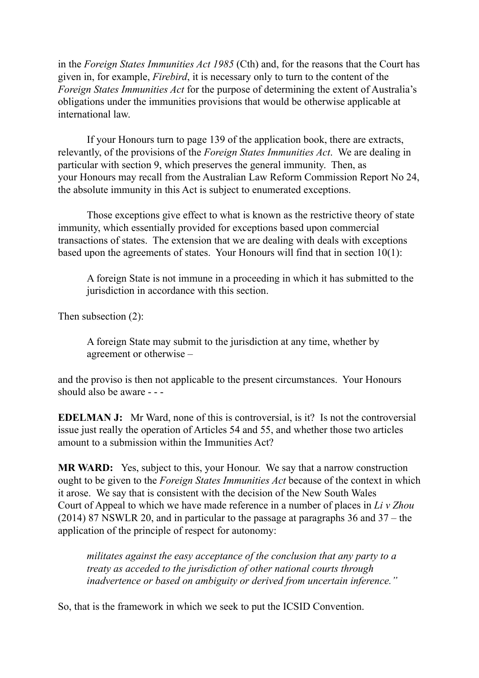in the *Foreign States Immunities Act 1985* (Cth) and, for the reasons that the Court has given in, for example, *Firebird*, it is necessary only to turn to the content of the *Foreign States Immunities Act* for the purpose of determining the extent of Australia's obligations under the immunities provisions that would be otherwise applicable at international law.

If your Honours turn to page 139 of the application book, there are extracts, relevantly, of the provisions of the *Foreign States Immunities Act*. We are dealing in particular with section 9, which preserves the general immunity. Then, as your Honours may recall from the Australian Law Reform Commission Report No 24, the absolute immunity in this Act is subject to enumerated exceptions.

Those exceptions give effect to what is known as the restrictive theory of state immunity, which essentially provided for exceptions based upon commercial transactions of states. The extension that we are dealing with deals with exceptions based upon the agreements of states. Your Honours will find that in section 10(1):

A foreign State is not immune in a proceeding in which it has submitted to the jurisdiction in accordance with this section.

Then subsection (2):

A foreign State may submit to the jurisdiction at any time, whether by agreement or otherwise –

and the proviso is then not applicable to the present circumstances. Your Honours should also be aware - - -

**EDELMAN J:** Mr Ward, none of this is controversial, is it? Is not the controversial issue just really the operation of Articles 54 and 55, and whether those two articles amount to a submission within the Immunities Act?

**MR WARD:** Yes, subject to this, your Honour. We say that a narrow construction ought to be given to the *Foreign States Immunities Act* because of the context in which it arose. We say that is consistent with the decision of the New South Wales Court of Appeal to which we have made reference in a number of places in *Li v Zhou* (2014) 87 NSWLR 20, and in particular to the passage at paragraphs 36 and 37 – the application of the principle of respect for autonomy:

*militates against the easy acceptance of the conclusion that any party to a treaty as acceded to the jurisdiction of other national courts through inadvertence or based on ambiguity or derived from uncertain inference."*

So, that is the framework in which we seek to put the ICSID Convention.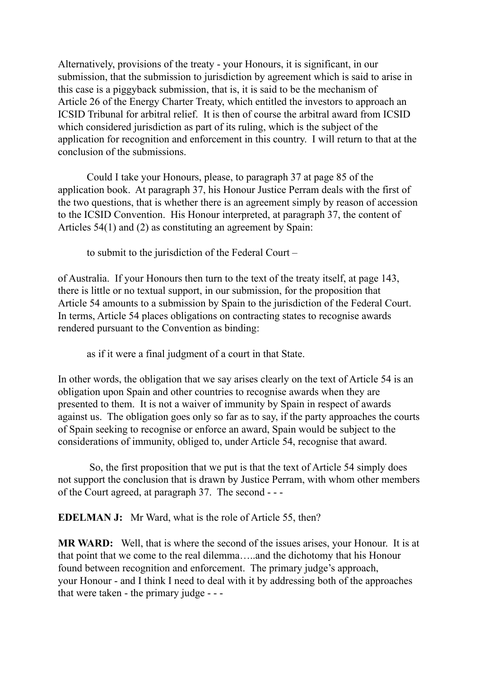Alternatively, provisions of the treaty - your Honours, it is significant, in our submission, that the submission to jurisdiction by agreement which is said to arise in this case is a piggyback submission, that is, it is said to be the mechanism of Article 26 of the Energy Charter Treaty, which entitled the investors to approach an ICSID Tribunal for arbitral relief. It is then of course the arbitral award from ICSID which considered jurisdiction as part of its ruling, which is the subject of the application for recognition and enforcement in this country. I will return to that at the conclusion of the submissions.

Could I take your Honours, please, to paragraph 37 at page 85 of the application book. At paragraph 37, his Honour Justice Perram deals with the first of the two questions, that is whether there is an agreement simply by reason of accession to the ICSID Convention. His Honour interpreted, at paragraph 37, the content of Articles 54(1) and (2) as constituting an agreement by Spain:

to submit to the jurisdiction of the Federal Court –

of Australia. If your Honours then turn to the text of the treaty itself, at page 143, there is little or no textual support, in our submission, for the proposition that Article 54 amounts to a submission by Spain to the jurisdiction of the Federal Court. In terms, Article 54 places obligations on contracting states to recognise awards rendered pursuant to the Convention as binding:

as if it were a final judgment of a court in that State.

In other words, the obligation that we say arises clearly on the text of Article 54 is an obligation upon Spain and other countries to recognise awards when they are presented to them. It is not a waiver of immunity by Spain in respect of awards against us. The obligation goes only so far as to say, if the party approaches the courts of Spain seeking to recognise or enforce an award, Spain would be subject to the considerations of immunity, obliged to, under Article 54, recognise that award.

 So, the first proposition that we put is that the text of Article 54 simply does not support the conclusion that is drawn by Justice Perram, with whom other members of the Court agreed, at paragraph 37. The second - - -

**EDELMAN J:** Mr Ward, what is the role of Article 55, then?

**MR WARD:** Well, that is where the second of the issues arises, your Honour. It is at that point that we come to the real dilemma…..and the dichotomy that his Honour found between recognition and enforcement. The primary judge's approach, your Honour - and I think I need to deal with it by addressing both of the approaches that were taken - the primary judge - - -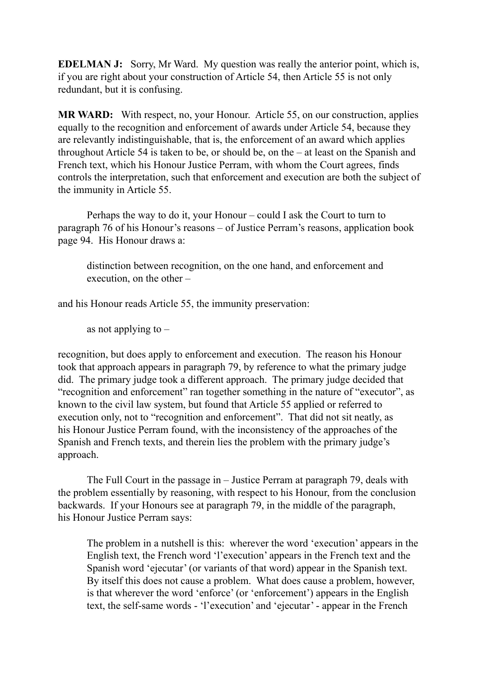**EDELMAN J:** Sorry, Mr Ward. My question was really the anterior point, which is, if you are right about your construction of Article 54, then Article 55 is not only redundant, but it is confusing.

**MR WARD:** With respect, no, your Honour. Article 55, on our construction, applies equally to the recognition and enforcement of awards under Article 54, because they are relevantly indistinguishable, that is, the enforcement of an award which applies throughout Article 54 is taken to be, or should be, on the – at least on the Spanish and French text, which his Honour Justice Perram, with whom the Court agrees, finds controls the interpretation, such that enforcement and execution are both the subject of the immunity in Article 55.

Perhaps the way to do it, your Honour – could I ask the Court to turn to paragraph 76 of his Honour's reasons – of Justice Perram's reasons, application book page 94. His Honour draws a:

distinction between recognition, on the one hand, and enforcement and execution, on the other –

and his Honour reads Article 55, the immunity preservation:

as not applying to  $-$ 

recognition, but does apply to enforcement and execution. The reason his Honour took that approach appears in paragraph 79, by reference to what the primary judge did. The primary judge took a different approach. The primary judge decided that "recognition and enforcement" ran together something in the nature of "executor", as known to the civil law system, but found that Article 55 applied or referred to execution only, not to "recognition and enforcement". That did not sit neatly, as his Honour Justice Perram found, with the inconsistency of the approaches of the Spanish and French texts, and therein lies the problem with the primary judge's approach.

The Full Court in the passage in – Justice Perram at paragraph 79, deals with the problem essentially by reasoning, with respect to his Honour, from the conclusion backwards. If your Honours see at paragraph 79, in the middle of the paragraph, his Honour Justice Perram says:

The problem in a nutshell is this: wherever the word 'execution' appears in the English text, the French word 'l'execution' appears in the French text and the Spanish word 'ejecutar' (or variants of that word) appear in the Spanish text. By itself this does not cause a problem. What does cause a problem, however, is that wherever the word 'enforce' (or 'enforcement') appears in the English text, the self-same words - 'l'execution' and 'ejecutar' - appear in the French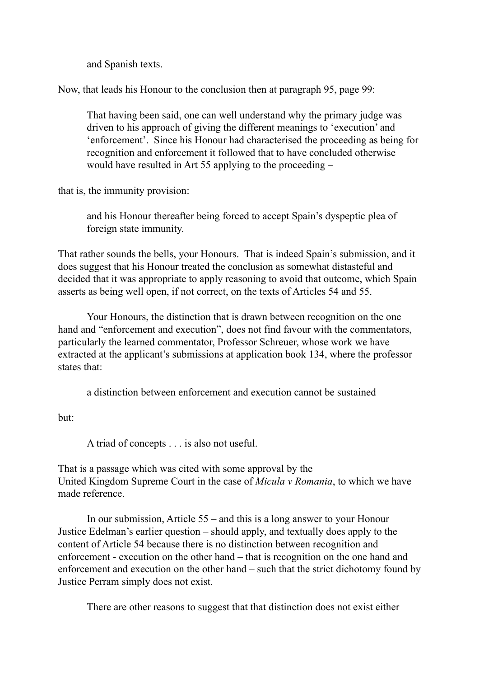and Spanish texts.

Now, that leads his Honour to the conclusion then at paragraph 95, page 99:

That having been said, one can well understand why the primary judge was driven to his approach of giving the different meanings to 'execution' and 'enforcement'. Since his Honour had characterised the proceeding as being for recognition and enforcement it followed that to have concluded otherwise would have resulted in Art 55 applying to the proceeding –

that is, the immunity provision:

and his Honour thereafter being forced to accept Spain's dyspeptic plea of foreign state immunity.

That rather sounds the bells, your Honours. That is indeed Spain's submission, and it does suggest that his Honour treated the conclusion as somewhat distasteful and decided that it was appropriate to apply reasoning to avoid that outcome, which Spain asserts as being well open, if not correct, on the texts of Articles 54 and 55.

Your Honours, the distinction that is drawn between recognition on the one hand and "enforcement and execution", does not find favour with the commentators, particularly the learned commentator, Professor Schreuer, whose work we have extracted at the applicant's submissions at application book 134, where the professor states that:

a distinction between enforcement and execution cannot be sustained –

but:

A triad of concepts . . . is also not useful.

That is a passage which was cited with some approval by the United Kingdom Supreme Court in the case of *Micula v Romania*, to which we have made reference.

In our submission, Article 55 – and this is a long answer to your Honour Justice Edelman's earlier question – should apply, and textually does apply to the content of Article 54 because there is no distinction between recognition and enforcement - execution on the other hand – that is recognition on the one hand and enforcement and execution on the other hand – such that the strict dichotomy found by Justice Perram simply does not exist.

There are other reasons to suggest that that distinction does not exist either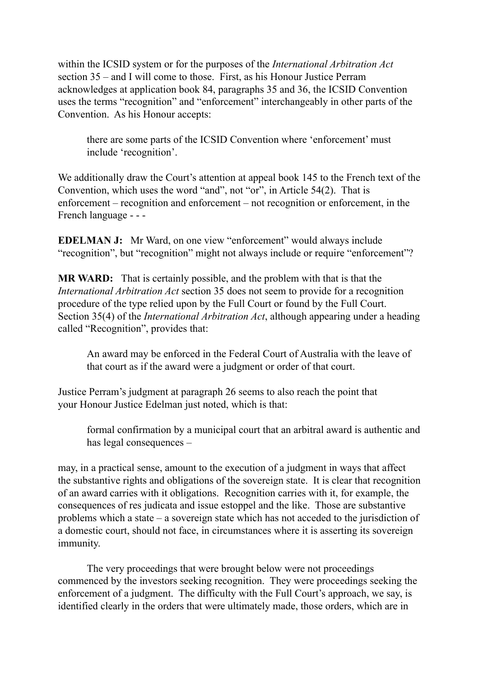within the ICSID system or for the purposes of the *International Arbitration Act*  section 35 – and I will come to those. First, as his Honour Justice Perram acknowledges at application book 84, paragraphs 35 and 36, the ICSID Convention uses the terms "recognition" and "enforcement" interchangeably in other parts of the Convention. As his Honour accepts:

there are some parts of the ICSID Convention where 'enforcement' must include 'recognition'.

We additionally draw the Court's attention at appeal book 145 to the French text of the Convention, which uses the word "and", not "or", in Article 54(2). That is enforcement – recognition and enforcement – not recognition or enforcement, in the French language - - -

**EDELMAN J:** Mr Ward, on one view "enforcement" would always include "recognition", but "recognition" might not always include or require "enforcement"?

**MR WARD:** That is certainly possible, and the problem with that is that the *International Arbitration Act* section 35 does not seem to provide for a recognition procedure of the type relied upon by the Full Court or found by the Full Court. Section 35(4) of the *International Arbitration Act*, although appearing under a heading called "Recognition", provides that:

An award may be enforced in the Federal Court of Australia with the leave of that court as if the award were a judgment or order of that court.

Justice Perram's judgment at paragraph 26 seems to also reach the point that your Honour Justice Edelman just noted, which is that:

formal confirmation by a municipal court that an arbitral award is authentic and has legal consequences –

may, in a practical sense, amount to the execution of a judgment in ways that affect the substantive rights and obligations of the sovereign state. It is clear that recognition of an award carries with it obligations. Recognition carries with it, for example, the consequences of res judicata and issue estoppel and the like. Those are substantive problems which a state – a sovereign state which has not acceded to the jurisdiction of a domestic court, should not face, in circumstances where it is asserting its sovereign immunity.

The very proceedings that were brought below were not proceedings commenced by the investors seeking recognition. They were proceedings seeking the enforcement of a judgment. The difficulty with the Full Court's approach, we say, is identified clearly in the orders that were ultimately made, those orders, which are in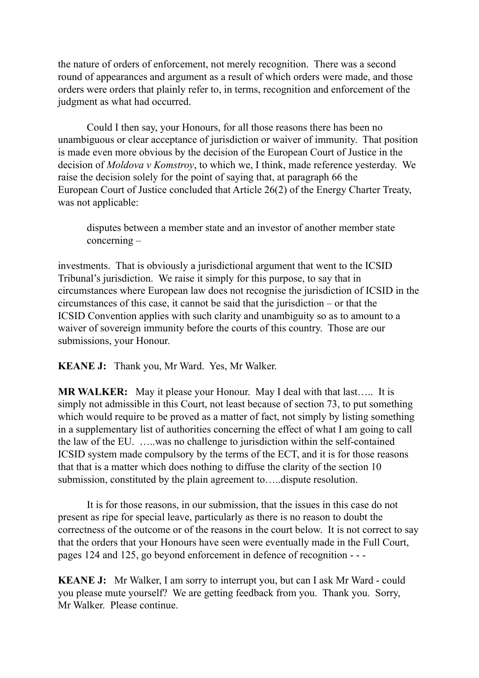the nature of orders of enforcement, not merely recognition. There was a second round of appearances and argument as a result of which orders were made, and those orders were orders that plainly refer to, in terms, recognition and enforcement of the judgment as what had occurred.

Could I then say, your Honours, for all those reasons there has been no unambiguous or clear acceptance of jurisdiction or waiver of immunity. That position is made even more obvious by the decision of the European Court of Justice in the decision of *Moldova v Komstroy*, to which we, I think, made reference yesterday. We raise the decision solely for the point of saying that, at paragraph 66 the European Court of Justice concluded that Article 26(2) of the Energy Charter Treaty, was not applicable:

disputes between a member state and an investor of another member state concerning –

investments. That is obviously a jurisdictional argument that went to the ICSID Tribunal's jurisdiction. We raise it simply for this purpose, to say that in circumstances where European law does not recognise the jurisdiction of ICSID in the circumstances of this case, it cannot be said that the jurisdiction – or that the ICSID Convention applies with such clarity and unambiguity so as to amount to a waiver of sovereign immunity before the courts of this country. Those are our submissions, your Honour.

**KEANE J:** Thank you, Mr Ward. Yes, Mr Walker.

**MR WALKER:** May it please your Honour. May I deal with that last….. It is simply not admissible in this Court, not least because of section 73, to put something which would require to be proved as a matter of fact, not simply by listing something in a supplementary list of authorities concerning the effect of what I am going to call the law of the EU. …..was no challenge to jurisdiction within the self-contained ICSID system made compulsory by the terms of the ECT, and it is for those reasons that that is a matter which does nothing to diffuse the clarity of the section 10 submission, constituted by the plain agreement to…..dispute resolution.

It is for those reasons, in our submission, that the issues in this case do not present as ripe for special leave, particularly as there is no reason to doubt the correctness of the outcome or of the reasons in the court below. It is not correct to say that the orders that your Honours have seen were eventually made in the Full Court, pages 124 and 125, go beyond enforcement in defence of recognition - - -

**KEANE J:** Mr Walker, I am sorry to interrupt you, but can I ask Mr Ward - could you please mute yourself? We are getting feedback from you. Thank you. Sorry, Mr Walker. Please continue.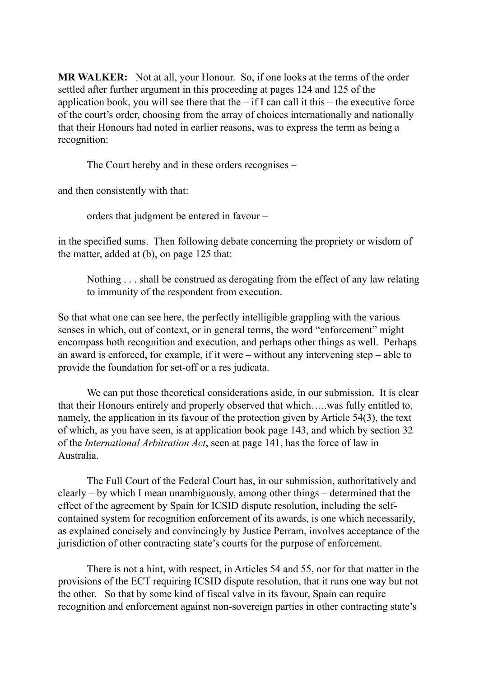**MR WALKER:** Not at all, your Honour. So, if one looks at the terms of the order settled after further argument in this proceeding at pages 124 and 125 of the application book, you will see there that the  $-$  if I can call it this  $-$  the executive force of the court's order, choosing from the array of choices internationally and nationally that their Honours had noted in earlier reasons, was to express the term as being a recognition:

The Court hereby and in these orders recognises –

and then consistently with that:

orders that judgment be entered in favour –

in the specified sums. Then following debate concerning the propriety or wisdom of the matter, added at (b), on page 125 that:

Nothing . . . shall be construed as derogating from the effect of any law relating to immunity of the respondent from execution.

So that what one can see here, the perfectly intelligible grappling with the various senses in which, out of context, or in general terms, the word "enforcement" might encompass both recognition and execution, and perhaps other things as well. Perhaps an award is enforced, for example, if it were – without any intervening step – able to provide the foundation for set-off or a res judicata.

We can put those theoretical considerations aside, in our submission. It is clear that their Honours entirely and properly observed that which…..was fully entitled to, namely, the application in its favour of the protection given by Article 54(3), the text of which, as you have seen, is at application book page 143, and which by section 32 of the *International Arbitration Act*, seen at page 141, has the force of law in Australia.

The Full Court of the Federal Court has, in our submission, authoritatively and clearly – by which I mean unambiguously, among other things – determined that the effect of the agreement by Spain for ICSID dispute resolution, including the selfcontained system for recognition enforcement of its awards, is one which necessarily, as explained concisely and convincingly by Justice Perram, involves acceptance of the jurisdiction of other contracting state's courts for the purpose of enforcement.

There is not a hint, with respect, in Articles 54 and 55, nor for that matter in the provisions of the ECT requiring ICSID dispute resolution, that it runs one way but not the other. So that by some kind of fiscal valve in its favour, Spain can require recognition and enforcement against non-sovereign parties in other contracting state's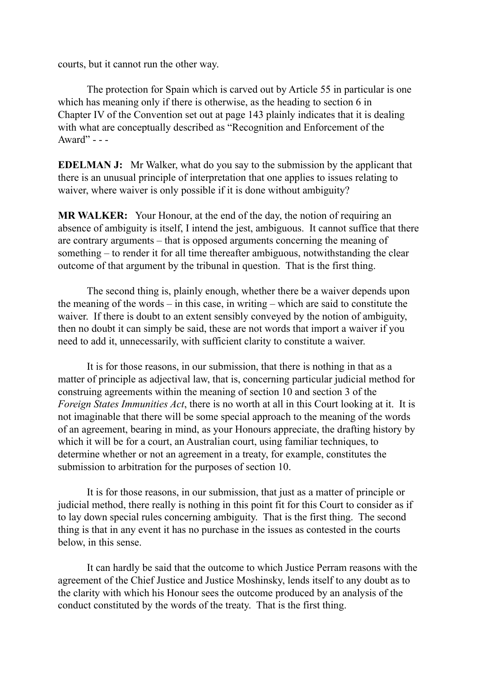courts, but it cannot run the other way.

The protection for Spain which is carved out by Article 55 in particular is one which has meaning only if there is otherwise, as the heading to section 6 in Chapter IV of the Convention set out at page 143 plainly indicates that it is dealing with what are conceptually described as "Recognition and Enforcement of the Award" - - -

**EDELMAN J:** Mr Walker, what do you say to the submission by the applicant that there is an unusual principle of interpretation that one applies to issues relating to waiver, where waiver is only possible if it is done without ambiguity?

**MR WALKER:** Your Honour, at the end of the day, the notion of requiring an absence of ambiguity is itself, I intend the jest, ambiguous. It cannot suffice that there are contrary arguments – that is opposed arguments concerning the meaning of something – to render it for all time thereafter ambiguous, notwithstanding the clear outcome of that argument by the tribunal in question. That is the first thing.

The second thing is, plainly enough, whether there be a waiver depends upon the meaning of the words – in this case, in writing – which are said to constitute the waiver. If there is doubt to an extent sensibly conveyed by the notion of ambiguity, then no doubt it can simply be said, these are not words that import a waiver if you need to add it, unnecessarily, with sufficient clarity to constitute a waiver.

It is for those reasons, in our submission, that there is nothing in that as a matter of principle as adjectival law, that is, concerning particular judicial method for construing agreements within the meaning of section 10 and section 3 of the *Foreign States Immunities Act*, there is no worth at all in this Court looking at it. It is not imaginable that there will be some special approach to the meaning of the words of an agreement, bearing in mind, as your Honours appreciate, the drafting history by which it will be for a court, an Australian court, using familiar techniques, to determine whether or not an agreement in a treaty, for example, constitutes the submission to arbitration for the purposes of section 10.

It is for those reasons, in our submission, that just as a matter of principle or judicial method, there really is nothing in this point fit for this Court to consider as if to lay down special rules concerning ambiguity. That is the first thing. The second thing is that in any event it has no purchase in the issues as contested in the courts below, in this sense.

It can hardly be said that the outcome to which Justice Perram reasons with the agreement of the Chief Justice and Justice Moshinsky, lends itself to any doubt as to the clarity with which his Honour sees the outcome produced by an analysis of the conduct constituted by the words of the treaty. That is the first thing.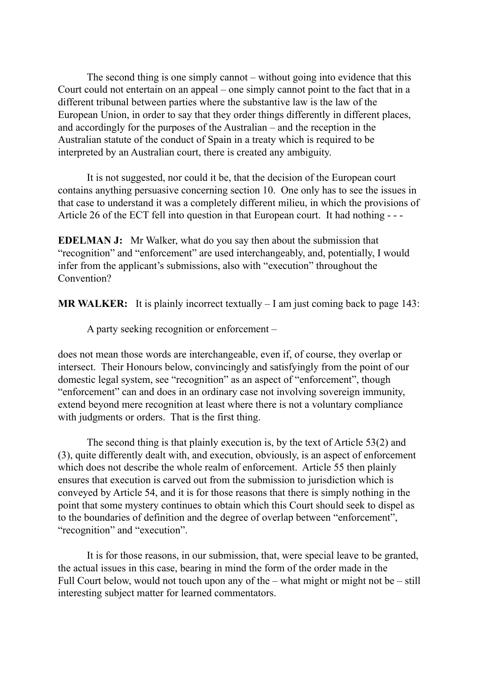The second thing is one simply cannot – without going into evidence that this Court could not entertain on an appeal – one simply cannot point to the fact that in a different tribunal between parties where the substantive law is the law of the European Union, in order to say that they order things differently in different places, and accordingly for the purposes of the Australian – and the reception in the Australian statute of the conduct of Spain in a treaty which is required to be interpreted by an Australian court, there is created any ambiguity.

It is not suggested, nor could it be, that the decision of the European court contains anything persuasive concerning section 10. One only has to see the issues in that case to understand it was a completely different milieu, in which the provisions of Article 26 of the ECT fell into question in that European court. It had nothing - - -

**EDELMAN J:** Mr Walker, what do you say then about the submission that "recognition" and "enforcement" are used interchangeably, and, potentially, I would infer from the applicant's submissions, also with "execution" throughout the Convention?

**MR WALKER:** It is plainly incorrect textually – I am just coming back to page 143:

A party seeking recognition or enforcement –

does not mean those words are interchangeable, even if, of course, they overlap or intersect. Their Honours below, convincingly and satisfyingly from the point of our domestic legal system, see "recognition" as an aspect of "enforcement", though "enforcement" can and does in an ordinary case not involving sovereign immunity, extend beyond mere recognition at least where there is not a voluntary compliance with judgments or orders. That is the first thing.

The second thing is that plainly execution is, by the text of Article 53(2) and (3), quite differently dealt with, and execution, obviously, is an aspect of enforcement which does not describe the whole realm of enforcement. Article 55 then plainly ensures that execution is carved out from the submission to jurisdiction which is conveyed by Article 54, and it is for those reasons that there is simply nothing in the point that some mystery continues to obtain which this Court should seek to dispel as to the boundaries of definition and the degree of overlap between "enforcement", "recognition" and "execution".

It is for those reasons, in our submission, that, were special leave to be granted, the actual issues in this case, bearing in mind the form of the order made in the Full Court below, would not touch upon any of the – what might or might not be – still interesting subject matter for learned commentators.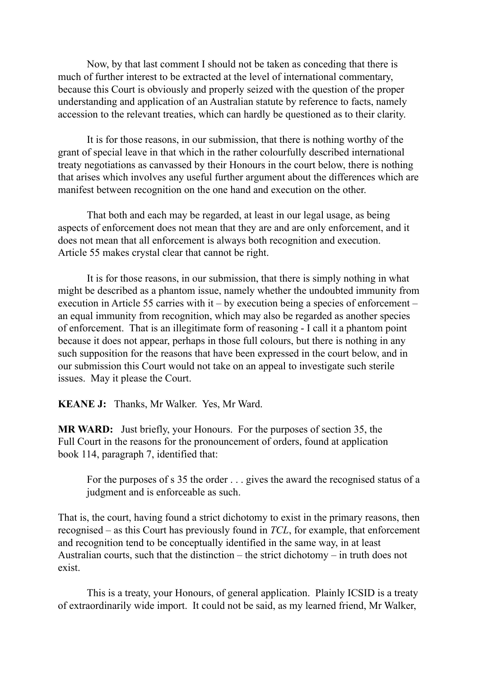Now, by that last comment I should not be taken as conceding that there is much of further interest to be extracted at the level of international commentary, because this Court is obviously and properly seized with the question of the proper understanding and application of an Australian statute by reference to facts, namely accession to the relevant treaties, which can hardly be questioned as to their clarity.

It is for those reasons, in our submission, that there is nothing worthy of the grant of special leave in that which in the rather colourfully described international treaty negotiations as canvassed by their Honours in the court below, there is nothing that arises which involves any useful further argument about the differences which are manifest between recognition on the one hand and execution on the other.

That both and each may be regarded, at least in our legal usage, as being aspects of enforcement does not mean that they are and are only enforcement, and it does not mean that all enforcement is always both recognition and execution. Article 55 makes crystal clear that cannot be right.

It is for those reasons, in our submission, that there is simply nothing in what might be described as a phantom issue, namely whether the undoubted immunity from execution in Article 55 carries with it – by execution being a species of enforcement – an equal immunity from recognition, which may also be regarded as another species of enforcement. That is an illegitimate form of reasoning - I call it a phantom point because it does not appear, perhaps in those full colours, but there is nothing in any such supposition for the reasons that have been expressed in the court below, and in our submission this Court would not take on an appeal to investigate such sterile issues. May it please the Court.

**KEANE J:** Thanks, Mr Walker. Yes, Mr Ward.

**MR WARD:** Just briefly, your Honours. For the purposes of section 35, the Full Court in the reasons for the pronouncement of orders, found at application book 114, paragraph 7, identified that:

For the purposes of s 35 the order . . . gives the award the recognised status of a judgment and is enforceable as such.

That is, the court, having found a strict dichotomy to exist in the primary reasons, then recognised – as this Court has previously found in *TCL*, for example, that enforcement and recognition tend to be conceptually identified in the same way, in at least Australian courts, such that the distinction – the strict dichotomy – in truth does not exist.

This is a treaty, your Honours, of general application. Plainly ICSID is a treaty of extraordinarily wide import. It could not be said, as my learned friend, Mr Walker,